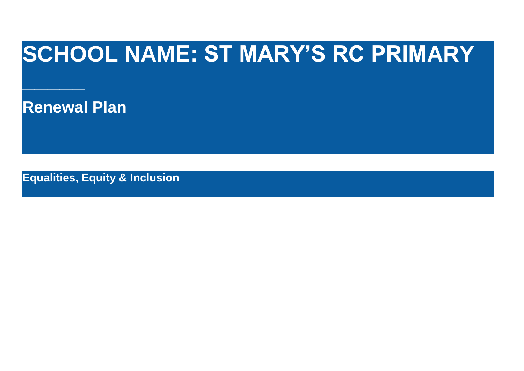## **SCHOOL NAME: ST MARY'S RC PRIMARY**

**Renewal Plan**

**\_\_\_\_\_**

**Equalities, Equity & Inclusion**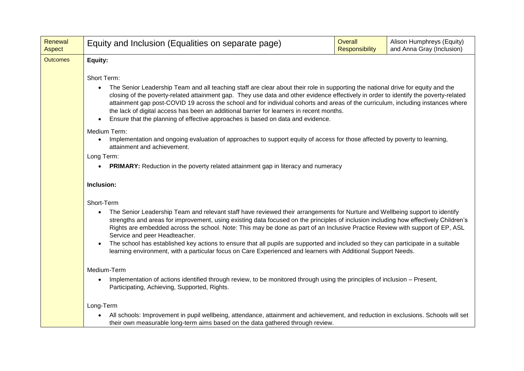| Renewal<br>Aspect | Equity and Inclusion (Equalities on separate page)                                                                                                                                                                                                                                                                                                                                                                                                                                                                                                                                                                                                                                                                                                       | Overall<br><b>Responsibility</b> | Alison Humphreys (Equity)<br>and Anna Gray (Inclusion) |  |  |  |  |  |
|-------------------|----------------------------------------------------------------------------------------------------------------------------------------------------------------------------------------------------------------------------------------------------------------------------------------------------------------------------------------------------------------------------------------------------------------------------------------------------------------------------------------------------------------------------------------------------------------------------------------------------------------------------------------------------------------------------------------------------------------------------------------------------------|----------------------------------|--------------------------------------------------------|--|--|--|--|--|
| <b>Outcomes</b>   | Equity:                                                                                                                                                                                                                                                                                                                                                                                                                                                                                                                                                                                                                                                                                                                                                  |                                  |                                                        |  |  |  |  |  |
|                   | Short Term:<br>The Senior Leadership Team and all teaching staff are clear about their role in supporting the national drive for equity and the<br>closing of the poverty-related attainment gap. They use data and other evidence effectively in order to identify the poverty-related<br>attainment gap post-COVID 19 across the school and for individual cohorts and areas of the curriculum, including instances where<br>the lack of digital access has been an additional barrier for learners in recent months.<br>Ensure that the planning of effective approaches is based on data and evidence.<br>Medium Term:<br>Implementation and ongoing evaluation of approaches to support equity of access for those affected by poverty to learning, |                                  |                                                        |  |  |  |  |  |
|                   | attainment and achievement.<br>Long Term:<br>PRIMARY: Reduction in the poverty related attainment gap in literacy and numeracy<br>Inclusion:                                                                                                                                                                                                                                                                                                                                                                                                                                                                                                                                                                                                             |                                  |                                                        |  |  |  |  |  |
|                   | Short-Term<br>The Senior Leadership Team and relevant staff have reviewed their arrangements for Nurture and Wellbeing support to identify<br>strengths and areas for improvement, using existing data focused on the principles of inclusion including how effectively Children's<br>Rights are embedded across the school. Note: This may be done as part of an Inclusive Practice Review with support of EP, ASL<br>Service and peer Headteacher.<br>The school has established key actions to ensure that all pupils are supported and included so they can participate in a suitable<br>learning environment, with a particular focus on Care Experienced and learners with Additional Support Needs.                                               |                                  |                                                        |  |  |  |  |  |
|                   | Medium-Term<br>Implementation of actions identified through review, to be monitored through using the principles of inclusion - Present,<br>Participating, Achieving, Supported, Rights.                                                                                                                                                                                                                                                                                                                                                                                                                                                                                                                                                                 |                                  |                                                        |  |  |  |  |  |
|                   | Long-Term<br>All schools: Improvement in pupil wellbeing, attendance, attainment and achievement, and reduction in exclusions. Schools will set<br>their own measurable long-term aims based on the data gathered through review.                                                                                                                                                                                                                                                                                                                                                                                                                                                                                                                        |                                  |                                                        |  |  |  |  |  |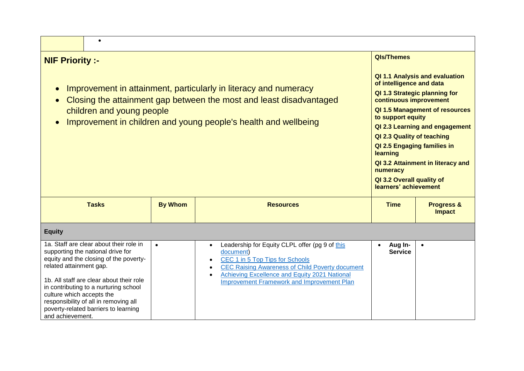| <b>NIF Priority :-</b>                                                                                                                                                                                                                                                                                                                                                   |                |                                                                                                                                                                                                                                                                             |                           |                                                                                                                                                                                                                                                                                                                                                                                                |  |
|--------------------------------------------------------------------------------------------------------------------------------------------------------------------------------------------------------------------------------------------------------------------------------------------------------------------------------------------------------------------------|----------------|-----------------------------------------------------------------------------------------------------------------------------------------------------------------------------------------------------------------------------------------------------------------------------|---------------------------|------------------------------------------------------------------------------------------------------------------------------------------------------------------------------------------------------------------------------------------------------------------------------------------------------------------------------------------------------------------------------------------------|--|
| Improvement in attainment, particularly in literacy and numeracy<br>Closing the attainment gap between the most and least disadvantaged<br>children and young people<br>Improvement in children and young people's health and wellbeing                                                                                                                                  |                |                                                                                                                                                                                                                                                                             |                           | QI 1.1 Analysis and evaluation<br>of intelligence and data<br>QI 1.3 Strategic planning for<br>continuous improvement<br>QI 1.5 Management of resources<br>to support equity<br>QI 2.3 Learning and engagement<br>QI 2.3 Quality of teaching<br>QI 2.5 Engaging families in<br>learning<br>QI 3.2 Attainment in literacy and<br>numeracy<br>QI 3.2 Overall quality of<br>learners' achievement |  |
| <b>Tasks</b>                                                                                                                                                                                                                                                                                                                                                             | <b>By Whom</b> | <b>Resources</b>                                                                                                                                                                                                                                                            | <b>Time</b>               | <b>Progress &amp;</b><br><b>Impact</b>                                                                                                                                                                                                                                                                                                                                                         |  |
| <b>Equity</b>                                                                                                                                                                                                                                                                                                                                                            |                |                                                                                                                                                                                                                                                                             |                           |                                                                                                                                                                                                                                                                                                                                                                                                |  |
| 1a. Staff are clear about their role in<br>supporting the national drive for<br>equity and the closing of the poverty-<br>related attainment gap.<br>1b. All staff are clear about their role<br>in contributing to a nurturing school<br>culture which accepts the<br>responsibility of all in removing all<br>poverty-related barriers to learning<br>and achievement. | $\bullet$      | Leadership for Equity CLPL offer (pg 9 of this<br>$\bullet$<br>document)<br>CEC 1 in 5 Top Tips for Schools<br><b>CEC Raising Awareness of Child Poverty document</b><br>Achieving Excellence and Equity 2021 National<br><b>Improvement Framework and Improvement Plan</b> | Aug In-<br><b>Service</b> | $\bullet$                                                                                                                                                                                                                                                                                                                                                                                      |  |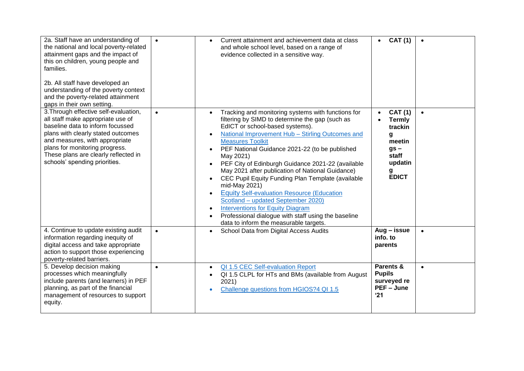| 2a. Staff have an understanding of<br>the national and local poverty-related<br>attainment gaps and the impact of<br>this on children, young people and<br>families.<br>2b. All staff have developed an<br>understanding of the poverty context<br>and the poverty-related attainment<br>gaps in their own setting. | $\bullet$ | Current attainment and achievement data at class<br>and whole school level, based on a range of<br>evidence collected in a sensitive way.                                                                                                                                                                                                                                                                                                                                                                                                                                                                                                                                                                                                           | <b>CAT (1)</b>                                                                                               | $\bullet$ |
|---------------------------------------------------------------------------------------------------------------------------------------------------------------------------------------------------------------------------------------------------------------------------------------------------------------------|-----------|-----------------------------------------------------------------------------------------------------------------------------------------------------------------------------------------------------------------------------------------------------------------------------------------------------------------------------------------------------------------------------------------------------------------------------------------------------------------------------------------------------------------------------------------------------------------------------------------------------------------------------------------------------------------------------------------------------------------------------------------------------|--------------------------------------------------------------------------------------------------------------|-----------|
| 3. Through effective self-evaluation,<br>all staff make appropriate use of<br>baseline data to inform focussed<br>plans with clearly stated outcomes<br>and measures, with appropriate<br>plans for monitoring progress.<br>These plans are clearly reflected in<br>schools' spending priorities.                   | $\bullet$ | Tracking and monitoring systems with functions for<br>filtering by SIMD to determine the gap (such as<br>EdICT or school-based systems).<br>National Improvement Hub - Stirling Outcomes and<br><b>Measures Toolkit</b><br>PEF National Guidance 2021-22 (to be published<br>$\bullet$<br>May 2021)<br>PEF City of Edinburgh Guidance 2021-22 (available<br>May 2021 after publication of National Guidance)<br>CEC Pupil Equity Funding Plan Template (available<br>mid-May 2021)<br><b>Equity Self-evaluation Resource (Education</b><br>Scotland - updated September 2020)<br><b>Interventions for Equity Diagram</b><br>$\bullet$<br>Professional dialogue with staff using the baseline<br>$\bullet$<br>data to inform the measurable targets. | <b>CAT (1)</b><br><b>Termly</b><br>trackin<br>g<br>meetin<br>$gs -$<br>staff<br>updatin<br>g<br><b>EDICT</b> | $\bullet$ |
| 4. Continue to update existing audit<br>information regarding inequity of<br>digital access and take appropriate<br>action to support those experiencing<br>poverty-related barriers.                                                                                                                               | $\bullet$ | School Data from Digital Access Audits<br>$\bullet$                                                                                                                                                                                                                                                                                                                                                                                                                                                                                                                                                                                                                                                                                                 | Aug - issue<br>info. to<br>parents                                                                           | $\bullet$ |
| 5. Develop decision making<br>processes which meaningfully<br>include parents (and learners) in PEF<br>planning, as part of the financial<br>management of resources to support<br>equity.                                                                                                                          | $\bullet$ | QI 1.5 CEC Self-evaluation Report<br>$\bullet$<br>QI 1.5 CLPL for HTs and BMs (available from August<br>$\bullet$<br>2021)<br>Challenge questions from HGIOS?4 QI 1.5                                                                                                                                                                                                                                                                                                                                                                                                                                                                                                                                                                               | Parents &<br><b>Pupils</b><br>surveyed re<br>PEF - June<br>'21                                               | $\bullet$ |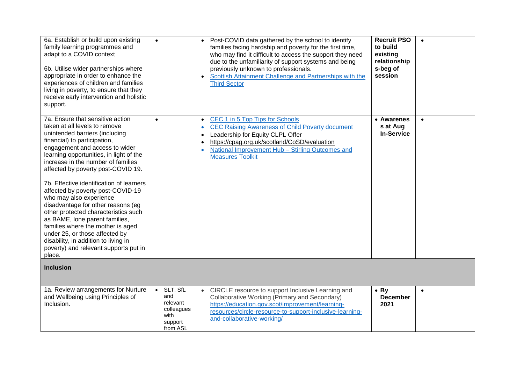| 6a. Establish or build upon existing<br>family learning programmes and<br>adapt to a COVID context<br>6b. Utilise wider partnerships where<br>appropriate in order to enhance the<br>experiences of children and families<br>living in poverty, to ensure that they<br>receive early intervention and holistic<br>support.                                                                                                                                                                                                                                                                                                                                                                 | $\bullet$                                                                          | Post-COVID data gathered by the school to identify<br>families facing hardship and poverty for the first time,<br>who may find it difficult to access the support they need<br>due to the unfamiliarity of support systems and being<br>previously unknown to professionals.<br>Scottish Attainment Challenge and Partnerships with the<br><b>Third Sector</b> | <b>Recruit PSO</b><br>to build<br>existing<br>relationship<br>s-beg of<br>session | $\bullet$ |
|--------------------------------------------------------------------------------------------------------------------------------------------------------------------------------------------------------------------------------------------------------------------------------------------------------------------------------------------------------------------------------------------------------------------------------------------------------------------------------------------------------------------------------------------------------------------------------------------------------------------------------------------------------------------------------------------|------------------------------------------------------------------------------------|----------------------------------------------------------------------------------------------------------------------------------------------------------------------------------------------------------------------------------------------------------------------------------------------------------------------------------------------------------------|-----------------------------------------------------------------------------------|-----------|
| 7a. Ensure that sensitive action<br>taken at all levels to remove<br>unintended barriers (including<br>financial) to participation,<br>engagement and access to wider<br>learning opportunities, in light of the<br>increase in the number of families<br>affected by poverty post-COVID 19.<br>7b. Effective identification of learners<br>affected by poverty post-COVID-19<br>who may also experience<br>disadvantage for other reasons (eg<br>other protected characteristics such<br>as BAME, lone parent families,<br>families where the mother is aged<br>under 25, or those affected by<br>disability, in addition to living in<br>poverty) and relevant supports put in<br>place. | $\bullet$                                                                          | CEC 1 in 5 Top Tips for Schools<br><b>CEC Raising Awareness of Child Poverty document</b><br>Leadership for Equity CLPL Offer<br>https://cpag.org.uk/scotland/CoSD/evaluation<br>National Improvement Hub - Stirling Outcomes and<br><b>Measures Toolkit</b>                                                                                                   | • Awarenes<br>s at Aug<br><b>In-Service</b>                                       | $\bullet$ |
| <b>Inclusion</b>                                                                                                                                                                                                                                                                                                                                                                                                                                                                                                                                                                                                                                                                           |                                                                                    |                                                                                                                                                                                                                                                                                                                                                                |                                                                                   |           |
| 1a. Review arrangements for Nurture<br>and Wellbeing using Principles of<br>Inclusion.                                                                                                                                                                                                                                                                                                                                                                                                                                                                                                                                                                                                     | $\bullet$ SLT, SfL<br>and<br>relevant<br>colleagues<br>with<br>support<br>from ASL | CIRCLE resource to support Inclusive Learning and<br>Collaborative Working (Primary and Secondary)<br>https://education.gov.scot/improvement/learning-<br>resources/circle-resource-to-support-inclusive-learning-<br>and-collaborative-working/                                                                                                               | $\bullet$ By<br><b>December</b><br>2021                                           | $\bullet$ |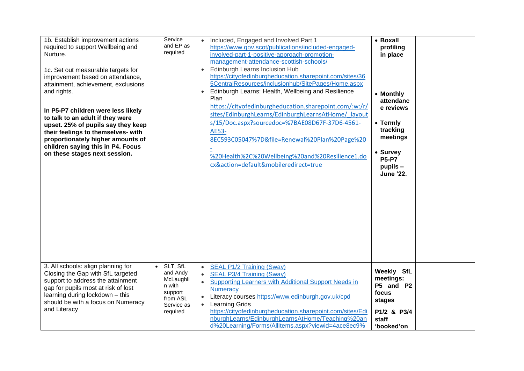| 1b. Establish improvement actions<br>required to support Wellbeing and<br>Nurture.<br>1c. Set out measurable targets for<br>improvement based on attendance,<br>attainment, achievement, exclusions<br>and rights.<br>In P5-P7 children were less likely<br>to talk to an adult if they were<br>upset. 25% of pupils say they keep<br>their feelings to themselves- with<br>proportionately higher amounts of<br>children saying this in P4. Focus<br>on these stages next session. | Service<br>and EP as<br>required                                                                          | Included, Engaged and Involved Part 1<br>https://www.gov.scot/publications/included-engaged-<br>involved-part-1-positive-approach-promotion-<br>management-attendance-scottish-schools/<br>Edinburgh Learns Inclusion Hub<br>$\bullet$<br>https://cityofedinburgheducation.sharepoint.com/sites/36<br>5CentralResources/inclusionhub/SitePages/Home.aspx<br>Edinburgh Learns: Health, Wellbeing and Resilience<br>Plan<br>https://cityofedinburgheducation.sharepoint.com/:w:/r/<br>sites/EdinburghLearns/EdinburghLearnsAtHome/ layout<br>s/15/Doc.aspx?sourcedoc=%7BAE08D67F-37D6-4561-<br>AE53-<br>8EC593C05047%7D&file=Renewal%20Plan%20Page%20<br>%20Health%2C%20Wellbeing%20and%20Resilience1.do<br>cx&action=default&mobileredirect=true | • Boxall<br>profiling<br>in place<br>• Monthly<br>attendanc<br>e reviews<br>• Termly<br>tracking<br>meetings<br>• Survey<br><b>P5-P7</b><br>$p$ upils $-$<br><b>June '22.</b> |
|-------------------------------------------------------------------------------------------------------------------------------------------------------------------------------------------------------------------------------------------------------------------------------------------------------------------------------------------------------------------------------------------------------------------------------------------------------------------------------------|-----------------------------------------------------------------------------------------------------------|-------------------------------------------------------------------------------------------------------------------------------------------------------------------------------------------------------------------------------------------------------------------------------------------------------------------------------------------------------------------------------------------------------------------------------------------------------------------------------------------------------------------------------------------------------------------------------------------------------------------------------------------------------------------------------------------------------------------------------------------------|-------------------------------------------------------------------------------------------------------------------------------------------------------------------------------|
| 3. All schools: align planning for<br>Closing the Gap with SfL targeted<br>support to address the attainment<br>gap for pupils most at risk of lost<br>learning during lockdown - this<br>should be with a focus on Numeracy<br>and Literacy                                                                                                                                                                                                                                        | SLT, SfL<br>$\bullet$<br>and Andy<br>McLaughli<br>n with<br>support<br>from ASL<br>Service as<br>required | SEAL P1/2 Training (Sway)<br>$\bullet$<br>SEAL P3/4 Training (Sway)<br>Supporting Learners with Additional Support Needs in<br>$\bullet$<br><b>Numeracy</b><br>Literacy courses https://www.edinburgh.gov.uk/cpd<br><b>Learning Grids</b><br>https://cityofedinburgheducation.sharepoint.com/sites/Edi<br>nburghLearns/EdinburghLearnsAtHome/Teaching%20an<br>d%20Learning/Forms/AllItems.aspx?viewid=4ace8ec9%                                                                                                                                                                                                                                                                                                                                 | Weekly SfL<br>meetings:<br>P5 and P2<br>focus<br>stages<br>P1/2 & P3/4<br>staff<br>'booked'on                                                                                 |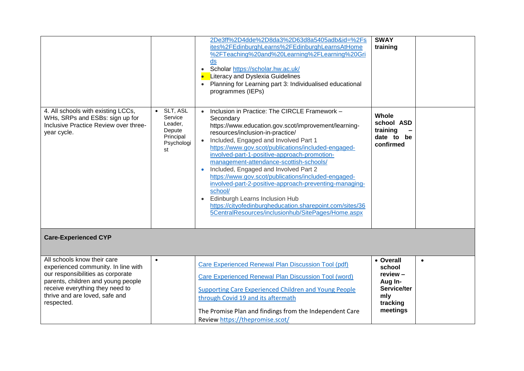|                                                                                                                                                                                                                                  |                                                                           | 2De3ff%2D4dde%2D8da3%2D63d8a5405adb&id=%2Fs<br>ites%2FEdinburghLearns%2FEdinburghLearnsAtHome<br>%2FTeaching%20and%20Learning%2FLearning%20Gri<br>ds<br>• Scholar https://scholar.hw.ac.uk/<br><b>Literacy and Dyslexia Guidelines</b><br>Planning for Learning part 3: Individualised educational<br>programmes (IEPs)                                                                                                                                                                                                                                                                                                                                                      | <b>SWAY</b><br>training                                                                  |           |
|----------------------------------------------------------------------------------------------------------------------------------------------------------------------------------------------------------------------------------|---------------------------------------------------------------------------|------------------------------------------------------------------------------------------------------------------------------------------------------------------------------------------------------------------------------------------------------------------------------------------------------------------------------------------------------------------------------------------------------------------------------------------------------------------------------------------------------------------------------------------------------------------------------------------------------------------------------------------------------------------------------|------------------------------------------------------------------------------------------|-----------|
| 4. All schools with existing LCCs,<br>WHs, SRPs and ESBs: sign up for<br>Inclusive Practice Review over three-<br>year cycle.                                                                                                    | SLT, ASL<br>Service<br>Leader,<br>Depute<br>Principal<br>Psychologi<br>st | Inclusion in Practice: The CIRCLE Framework -<br>Secondary<br>https://www.education.gov.scot/improvement/learning-<br>resources/inclusion-in-practice/<br>Included, Engaged and Involved Part 1<br>https://www.gov.scot/publications/included-engaged-<br>involved-part-1-positive-approach-promotion-<br>management-attendance-scottish-schools/<br>Included, Engaged and Involved Part 2<br>https://www.gov.scot/publications/included-engaged-<br>involved-part-2-positive-approach-preventing-managing-<br>school/<br>• Edinburgh Learns Inclusion Hub<br>https://cityofedinburgheducation.sharepoint.com/sites/36<br>5CentralResources/inclusionhub/SitePages/Home.aspx | Whole<br>school ASD<br>training<br>date to be<br>confirmed                               |           |
| <b>Care-Experienced CYP</b>                                                                                                                                                                                                      |                                                                           |                                                                                                                                                                                                                                                                                                                                                                                                                                                                                                                                                                                                                                                                              |                                                                                          |           |
| All schools know their care<br>experienced community. In line with<br>our responsibilities as corporate<br>parents, children and young people<br>receive everything they need to<br>thrive and are loved, safe and<br>respected. | $\bullet$                                                                 | Care Experienced Renewal Plan Discussion Tool (pdf)<br>Care Experienced Renewal Plan Discussion Tool (word)<br>Supporting Care Experienced Children and Young People<br>through Covid 19 and its aftermath<br>The Promise Plan and findings from the Independent Care<br>Review https://thepromise.scot/                                                                                                                                                                                                                                                                                                                                                                     | • Overall<br>school<br>review -<br>Aug In-<br>Service/ter<br>mly<br>tracking<br>meetings | $\bullet$ |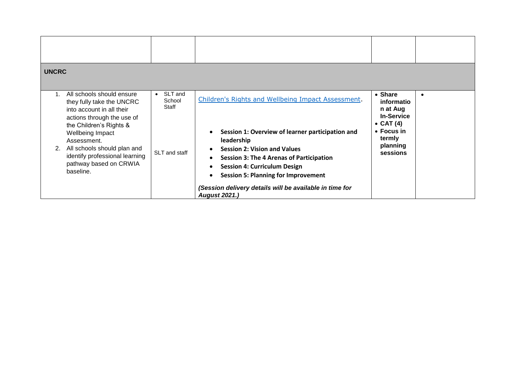| <b>UNCRC</b>                                                                                                                                                                                                                                                                                                    |                                                          |                                                                                                                                                                                                                                                                                                                                                                                                                                                         |                                                                                                                                     |  |
|-----------------------------------------------------------------------------------------------------------------------------------------------------------------------------------------------------------------------------------------------------------------------------------------------------------------|----------------------------------------------------------|---------------------------------------------------------------------------------------------------------------------------------------------------------------------------------------------------------------------------------------------------------------------------------------------------------------------------------------------------------------------------------------------------------------------------------------------------------|-------------------------------------------------------------------------------------------------------------------------------------|--|
| All schools should ensure<br>$\mathbf{1}$ .<br>they fully take the UNCRC<br>into account in all their<br>actions through the use of<br>the Children's Rights &<br>Wellbeing Impact<br>Assessment.<br>All schools should plan and<br>2.<br>identify professional learning<br>pathway based on CRWIA<br>baseline. | SLT and<br>$\bullet$<br>School<br>Staff<br>SLT and staff | Children's Rights and Wellbeing Impact Assessment.<br>Session 1: Overview of learner participation and<br>$\bullet$<br>leadership<br><b>Session 2: Vision and Values</b><br>$\bullet$<br><b>Session 3: The 4 Arenas of Participation</b><br>$\bullet$<br><b>Session 4: Curriculum Design</b><br>$\bullet$<br><b>Session 5: Planning for Improvement</b><br>$\bullet$<br>(Session delivery details will be available in time for<br><b>August 2021.)</b> | • Share<br>informatio<br>n at Aug<br><b>In-Service</b><br>$\bullet$ CAT (4)<br>$\bullet$ Focus in<br>termly<br>planning<br>sessions |  |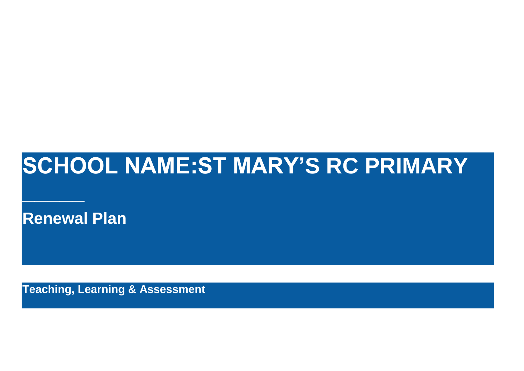## **SCHOOL NAME:ST MARY'S RC PRIMARY**

**Renewal Plan**

**\_\_\_\_\_**

**Teaching, Learning & Assessment**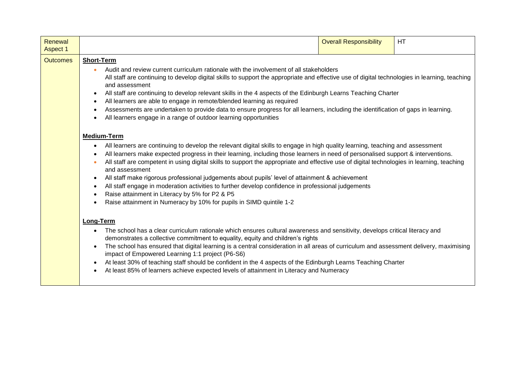| Renewal<br><b>Aspect 1</b> |                                                                                                                                                                                                                                                                                                                                                                                                                                                                                                                                                                                                                                                                                                                                                                                                                                                | <b>Overall Responsibility</b> | <b>HT</b> |
|----------------------------|------------------------------------------------------------------------------------------------------------------------------------------------------------------------------------------------------------------------------------------------------------------------------------------------------------------------------------------------------------------------------------------------------------------------------------------------------------------------------------------------------------------------------------------------------------------------------------------------------------------------------------------------------------------------------------------------------------------------------------------------------------------------------------------------------------------------------------------------|-------------------------------|-----------|
| <b>Outcomes</b>            | <b>Short-Term</b><br>Audit and review current curriculum rationale with the involvement of all stakeholders<br>All staff are continuing to develop digital skills to support the appropriate and effective use of digital technologies in learning, teaching<br>and assessment<br>All staff are continuing to develop relevant skills in the 4 aspects of the Edinburgh Learns Teaching Charter<br>All learners are able to engage in remote/blended learning as required<br>$\bullet$<br>Assessments are undertaken to provide data to ensure progress for all learners, including the identification of gaps in learning.<br>$\bullet$<br>All learners engage in a range of outdoor learning opportunities                                                                                                                                   |                               |           |
|                            | <b>Medium-Term</b><br>All learners are continuing to develop the relevant digital skills to engage in high quality learning, teaching and assessment<br>$\bullet$<br>All learners make expected progress in their learning, including those learners in need of personalised support & interventions.<br>All staff are competent in using digital skills to support the appropriate and effective use of digital technologies in learning, teaching<br>$\bullet$<br>and assessment<br>All staff make rigorous professional judgements about pupils' level of attainment & achievement<br>$\bullet$<br>All staff engage in moderation activities to further develop confidence in professional judgements<br>$\bullet$<br>Raise attainment in Literacy by 5% for P2 & P5<br>Raise attainment in Numeracy by 10% for pupils in SIMD quintile 1-2 |                               |           |
|                            | Long-Term<br>The school has a clear curriculum rationale which ensures cultural awareness and sensitivity, develops critical literacy and<br>demonstrates a collective commitment to equality, equity and children's rights<br>The school has ensured that digital learning is a central consideration in all areas of curriculum and assessment delivery, maximising<br>impact of Empowered Learning 1:1 project (P6-S6)<br>At least 30% of teaching staff should be confident in the 4 aspects of the Edinburgh Learns Teaching Charter<br>At least 85% of learners achieve expected levels of attainment in Literacy and Numeracy                                                                                                                                                                                                           |                               |           |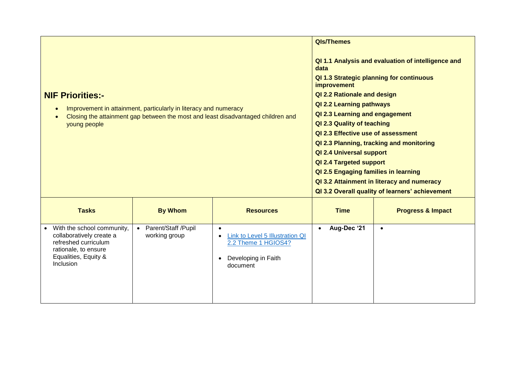| <b>NIF Priorities:-</b><br>young people                                                                                                              | Improvement in attainment, particularly in literacy and numeracy<br>Closing the attainment gap between the most and least disadvantaged children and | <b>QIs/Themes</b><br>QI 1.1 Analysis and evaluation of intelligence and<br>data<br>QI 1.3 Strategic planning for continuous<br><i>improvement</i><br>QI 2.2 Rationale and design<br>QI 2.2 Learning pathways<br>QI 2.3 Learning and engagement<br>QI 2.3 Quality of teaching<br>QI 2.3 Effective use of assessment<br>QI 2.3 Planning, tracking and monitoring<br><b>QI 2.4 Universal support</b><br>QI 2.4 Targeted support<br>QI 2.5 Engaging families in learning<br>QI 3.2 Attainment in literacy and numeracy |             |                              |
|------------------------------------------------------------------------------------------------------------------------------------------------------|------------------------------------------------------------------------------------------------------------------------------------------------------|--------------------------------------------------------------------------------------------------------------------------------------------------------------------------------------------------------------------------------------------------------------------------------------------------------------------------------------------------------------------------------------------------------------------------------------------------------------------------------------------------------------------|-------------|------------------------------|
| <b>Tasks</b>                                                                                                                                         | <b>By Whom</b>                                                                                                                                       | <b>Resources</b>                                                                                                                                                                                                                                                                                                                                                                                                                                                                                                   | <b>Time</b> | <b>Progress &amp; Impact</b> |
| • With the school community,<br>collaboratively create a<br>refreshed curriculum<br>rationale, to ensure<br>Equalities, Equity &<br><b>Inclusion</b> | • Parent/Staff /Pupil<br>working group                                                                                                               | $\bullet$<br>Link to Level 5 Illustration QI<br>2.2 Theme 1 HGIOS4?<br>Developing in Faith<br>document                                                                                                                                                                                                                                                                                                                                                                                                             | Aug-Dec '21 | $\bullet$                    |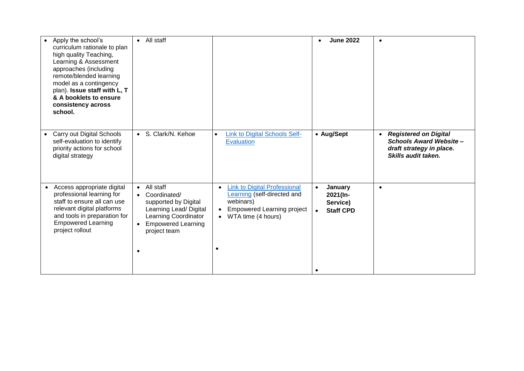| Apply the school's<br>$\bullet$<br>curriculum rationale to plan<br>high quality Teaching,<br>Learning & Assessment<br>approaches (including<br>remote/blended learning<br>model as a contingency<br>plan). Issue staff with L, T<br>& A booklets to ensure<br>consistency across<br>school. | • All staff                                                                                                                                                       |                                                                                                                                                     | <b>June 2022</b>                                                              | $\bullet$                                                                                                   |
|---------------------------------------------------------------------------------------------------------------------------------------------------------------------------------------------------------------------------------------------------------------------------------------------|-------------------------------------------------------------------------------------------------------------------------------------------------------------------|-----------------------------------------------------------------------------------------------------------------------------------------------------|-------------------------------------------------------------------------------|-------------------------------------------------------------------------------------------------------------|
| Carry out Digital Schools<br>$\bullet$<br>self-evaluation to identify<br>priority actions for school<br>digital strategy                                                                                                                                                                    | • S. Clark/N. Kehoe                                                                                                                                               | <b>Link to Digital Schools Self-</b><br>$\bullet$<br><b>Evaluation</b>                                                                              | • Aug/Sept                                                                    | • Registered on Digital<br><b>Schools Award Website-</b><br>draft strategy in place.<br>Skills audit taken. |
| Access appropriate digital<br>professional learning for<br>staff to ensure all can use<br>relevant digital platforms<br>and tools in preparation for<br><b>Empowered Learning</b><br>project rollout                                                                                        | • All staff<br>• Coordinated/<br>supported by Digital<br>Learning Lead/ Digital<br>Learning Coordinator<br><b>Empowered Learning</b><br>project team<br>$\bullet$ | <b>Link to Digital Professional</b><br><b>Learning</b> (self-directed and<br>webinars)<br><b>Empowered Learning project</b><br>• WTA time (4 hours) | January<br>$\bullet$<br>2021(In-<br>Service)<br><b>Staff CPD</b><br>$\bullet$ | $\bullet$                                                                                                   |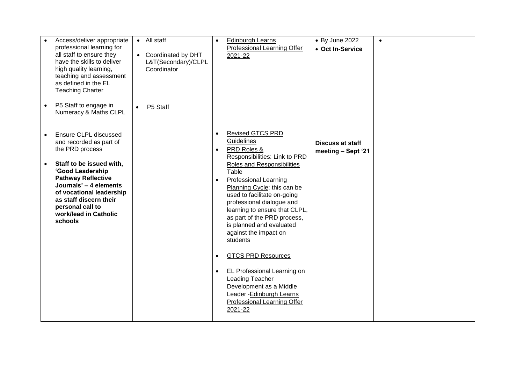| Access/deliver appropriate<br>professional learning for<br>all staff to ensure they<br>have the skills to deliver<br>high quality learning,<br>teaching and assessment<br>as defined in the EL<br><b>Teaching Charter</b>                                                                | • All staff<br>• Coordinated by DHT<br>L&T(Secondary)/CLPL<br>Coordinator | <b>Edinburgh Learns</b><br>$\bullet$<br>Professional Learning Offer<br>2021-22                                                                                                                                                                                                                                                                                                                                                                                                                                                                                                                                                             | • By June 2022<br>$\bullet$<br>• Oct In-Service |
|------------------------------------------------------------------------------------------------------------------------------------------------------------------------------------------------------------------------------------------------------------------------------------------|---------------------------------------------------------------------------|--------------------------------------------------------------------------------------------------------------------------------------------------------------------------------------------------------------------------------------------------------------------------------------------------------------------------------------------------------------------------------------------------------------------------------------------------------------------------------------------------------------------------------------------------------------------------------------------------------------------------------------------|-------------------------------------------------|
| P5 Staff to engage in<br>$\bullet$<br>Numeracy & Maths CLPL                                                                                                                                                                                                                              | P5 Staff<br>$\bullet$                                                     |                                                                                                                                                                                                                                                                                                                                                                                                                                                                                                                                                                                                                                            |                                                 |
| Ensure CLPL discussed<br>and recorded as part of<br>the PRD process<br>Staff to be issued with,<br>'Good Leadership<br><b>Pathway Reflective</b><br>Journals' - 4 elements<br>of vocational leadership<br>as staff discern their<br>personal call to<br>work/lead in Catholic<br>schools |                                                                           | <b>Revised GTCS PRD</b><br>$\bullet$<br>Guidelines<br>PRD Roles &<br>$\bullet$<br>Responsibilities: Link to PRD<br>Roles and Responsibilities<br>Table<br><b>Professional Learning</b><br>$\bullet$<br>Planning Cycle: this can be<br>used to facilitate on-going<br>professional dialogue and<br>learning to ensure that CLPL,<br>as part of the PRD process,<br>is planned and evaluated<br>against the impact on<br>students<br><b>GTCS PRD Resources</b><br>$\bullet$<br>EL Professional Learning on<br>$\bullet$<br>Leading Teacher<br>Development as a Middle<br>Leader - Edinburgh Learns<br>Professional Learning Offer<br>2021-22 | <b>Discuss at staff</b><br>meeting - Sept '21   |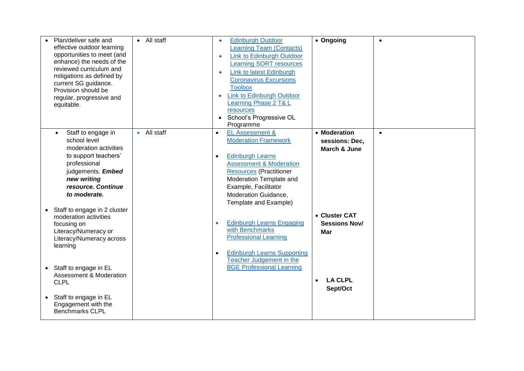| Plan/deliver safe and<br>effective outdoor learning<br>opportunities to meet (and<br>enhance) the needs of the<br>reviewed curriculum and<br>mitigations as defined by<br>current SG guidance.<br>Provision should be<br>regular, progressive and<br>equitable. | • All staff | <b>Edinburgh Outdoor</b><br><b>Learning Team (Contacts)</b><br><b>Link to Edinburgh Outdoor</b><br>$\bullet$<br><b>Learning SORT resources</b><br><b>Link to latest Edinburgh</b><br><b>Coronavirus Excursions</b><br><b>Toolbox</b><br><b>Link to Edinburgh Outdoor</b><br>Learning Phase 2 T& L<br>resources<br>School's Progressive OL<br>$\bullet$<br>Programme | • Ongoing                                                                   | $\bullet$ |
|-----------------------------------------------------------------------------------------------------------------------------------------------------------------------------------------------------------------------------------------------------------------|-------------|---------------------------------------------------------------------------------------------------------------------------------------------------------------------------------------------------------------------------------------------------------------------------------------------------------------------------------------------------------------------|-----------------------------------------------------------------------------|-----------|
| Staff to engage in<br>$\bullet$<br>school level<br>moderation activities<br>to support teachers'<br>professional<br>judgements. Embed<br>new writing<br>resource. Continue<br>to moderate.                                                                      | • All staff | EL Assessment &<br>$\bullet$<br><b>Moderation Framework</b><br><b>Edinburgh Learns</b><br>$\bullet$<br><b>Assessment &amp; Moderation</b><br><b>Resources (Practitioner</b><br>Moderation Template and<br>Example, Facilitator<br>Moderation Guidance,<br>Template and Example)                                                                                     | • Moderation<br>sessions: Dec,<br>March & June                              | $\bullet$ |
| Staff to engage in 2 cluster<br>$\bullet$<br>moderation activities<br>focusing on<br>Literacy/Numeracy or<br>Literacy/Numeracy across<br>learning<br>Staff to engage in EL<br><b>Assessment &amp; Moderation</b>                                                |             | <b>Edinburgh Learns Engaging</b><br>$\bullet$<br>with Benchmarks<br><b>Professional Learning</b><br><b>Edinburgh Learns Supporting</b><br>$\bullet$<br>Teacher Judgement in the<br><b>BGE Professional Learning</b>                                                                                                                                                 | • Cluster CAT<br><b>Sessions Nov/</b><br>Mar<br><b>LA CLPL</b><br>$\bullet$ |           |
| <b>CLPL</b><br>Staff to engage in EL<br>Engagement with the<br><b>Benchmarks CLPL</b>                                                                                                                                                                           |             |                                                                                                                                                                                                                                                                                                                                                                     | Sept/Oct                                                                    |           |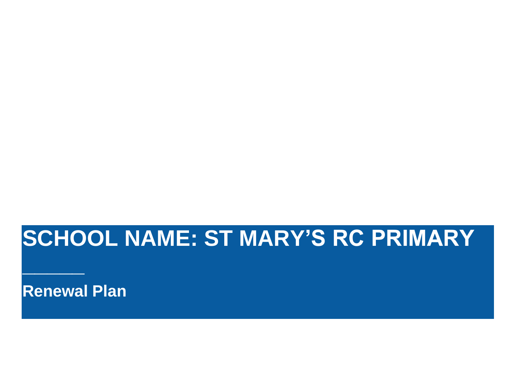## **SCHOOL NAME: ST MARY'S RC PRIMARY**

**Renewal Plan**

**\_\_\_\_\_**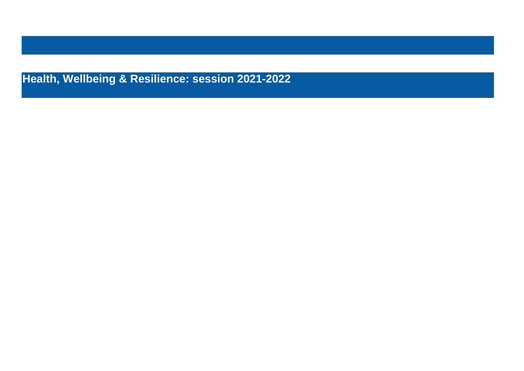**Health, Wellbeing & Resilience: session 2021-2022**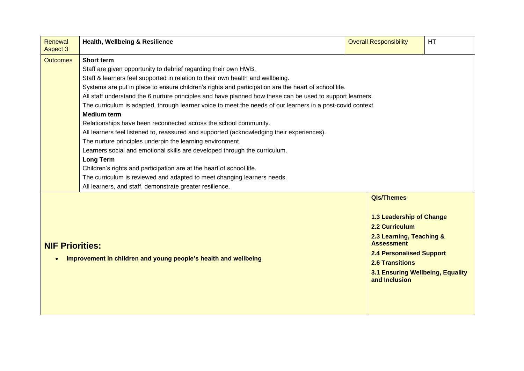| Renewal<br><b>Aspect 3</b>                                              | Health, Wellbeing & Resilience                                                                              | <b>Overall Responsibility</b>                     | <b>HT</b> |  |  |  |  |  |  |
|-------------------------------------------------------------------------|-------------------------------------------------------------------------------------------------------------|---------------------------------------------------|-----------|--|--|--|--|--|--|
| <b>Outcomes</b>                                                         | <b>Short term</b>                                                                                           |                                                   |           |  |  |  |  |  |  |
|                                                                         | Staff are given opportunity to debrief regarding their own HWB.                                             |                                                   |           |  |  |  |  |  |  |
|                                                                         | Staff & learners feel supported in relation to their own health and wellbeing.                              |                                                   |           |  |  |  |  |  |  |
|                                                                         | Systems are put in place to ensure children's rights and participation are the heart of school life.        |                                                   |           |  |  |  |  |  |  |
|                                                                         | All staff understand the 6 nurture principles and have planned how these can be used to support learners.   |                                                   |           |  |  |  |  |  |  |
|                                                                         | The curriculum is adapted, through learner voice to meet the needs of our learners in a post-covid context. |                                                   |           |  |  |  |  |  |  |
|                                                                         | <b>Medium term</b>                                                                                          |                                                   |           |  |  |  |  |  |  |
|                                                                         | Relationships have been reconnected across the school community.                                            |                                                   |           |  |  |  |  |  |  |
|                                                                         | All learners feel listened to, reassured and supported (acknowledging their experiences).                   |                                                   |           |  |  |  |  |  |  |
|                                                                         | The nurture principles underpin the learning environment.                                                   |                                                   |           |  |  |  |  |  |  |
|                                                                         | Learners social and emotional skills are developed through the curriculum.                                  |                                                   |           |  |  |  |  |  |  |
|                                                                         | <b>Long Term</b>                                                                                            |                                                   |           |  |  |  |  |  |  |
|                                                                         | Children's rights and participation are at the heart of school life.                                        |                                                   |           |  |  |  |  |  |  |
| The curriculum is reviewed and adapted to meet changing learners needs. |                                                                                                             |                                                   |           |  |  |  |  |  |  |
|                                                                         | All learners, and staff, demonstrate greater resilience.                                                    |                                                   |           |  |  |  |  |  |  |
|                                                                         |                                                                                                             | <b>QIs/Themes</b>                                 |           |  |  |  |  |  |  |
|                                                                         |                                                                                                             |                                                   |           |  |  |  |  |  |  |
|                                                                         |                                                                                                             | 1.3 Leadership of Change                          |           |  |  |  |  |  |  |
|                                                                         |                                                                                                             | 2.2 Curriculum                                    |           |  |  |  |  |  |  |
| <b>NIF Priorities:</b>                                                  |                                                                                                             | 2.3 Learning, Teaching &<br><b>Assessment</b>     |           |  |  |  |  |  |  |
|                                                                         | Improvement in children and young people's health and wellbeing                                             | <b>2.4 Personalised Support</b>                   |           |  |  |  |  |  |  |
|                                                                         |                                                                                                             | <b>2.6 Transitions</b>                            |           |  |  |  |  |  |  |
|                                                                         |                                                                                                             | 3.1 Ensuring Wellbeing, Equality<br>and Inclusion |           |  |  |  |  |  |  |
|                                                                         |                                                                                                             |                                                   |           |  |  |  |  |  |  |
|                                                                         |                                                                                                             |                                                   |           |  |  |  |  |  |  |
|                                                                         |                                                                                                             |                                                   |           |  |  |  |  |  |  |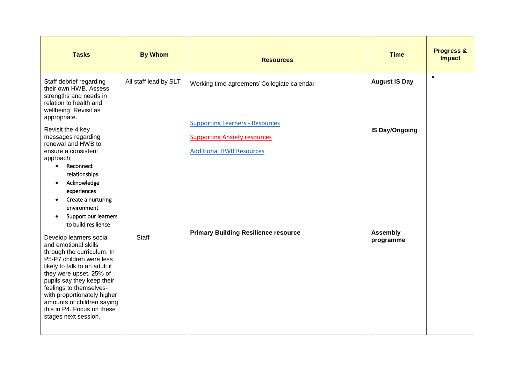| <b>Tasks</b>                                                                                                                                                                                                                                                                                                                                                                                                                                           | <b>By Whom</b>        | <b>Resources</b>                                                                                                                                                | <b>Time</b>                                   | <b>Progress &amp;</b><br><b>Impact</b> |
|--------------------------------------------------------------------------------------------------------------------------------------------------------------------------------------------------------------------------------------------------------------------------------------------------------------------------------------------------------------------------------------------------------------------------------------------------------|-----------------------|-----------------------------------------------------------------------------------------------------------------------------------------------------------------|-----------------------------------------------|----------------------------------------|
| Staff debrief regarding<br>their own HWB. Assess<br>strengths and needs in<br>relation to health and<br>wellbeing. Revisit as<br>appropriate.<br>Revisit the 4 key<br>messages regarding<br>renewal and HWB to<br>ensure a consistent<br>approach;<br>Reconnect<br>$\bullet$<br>relationships<br>Acknowledge<br>$\bullet$<br>experiences<br>Create a nurturing<br>$\bullet$<br>environment<br>Support our learners<br>$\bullet$<br>to build resilience | All staff lead by SLT | Working time agreement/ Collegiate calendar<br><b>Supporting Learners - Resources</b><br><b>Supporting Anxiety resources</b><br><b>Additional HWB Resources</b> | <b>August IS Day</b><br><b>IS Day/Ongoing</b> | $\bullet$                              |
| Develop learners social<br>and emotional skills<br>through the curriculum. In<br>P5-P7 children were less<br>likely to talk to an adult if<br>they were upset. 25% of<br>pupils say they keep their<br>feelings to themselves-<br>with proportionately higher<br>amounts of children saying<br>this in P4. Focus on these<br>stages next session.                                                                                                      | Staff                 | <b>Primary Building Resilience resource</b>                                                                                                                     | <b>Assembly</b><br>programme                  |                                        |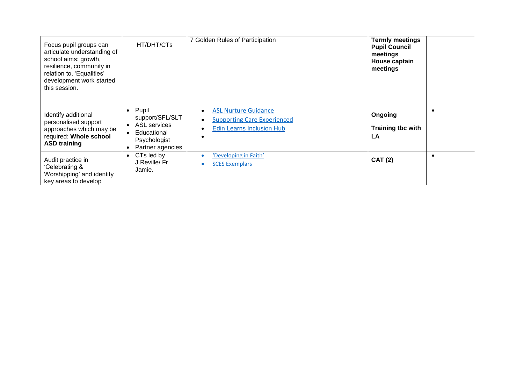| Focus pupil groups can<br>articulate understanding of<br>school aims: growth,<br>resilience, community in<br>relation to, 'Equalities'<br>development work started<br>this session. | HT/DHT/CTs                                                                                                      | 7 Golden Rules of Participation                                                                | <b>Termly meetings</b><br><b>Pupil Council</b><br>meetings<br>House captain<br>meetings |  |
|-------------------------------------------------------------------------------------------------------------------------------------------------------------------------------------|-----------------------------------------------------------------------------------------------------------------|------------------------------------------------------------------------------------------------|-----------------------------------------------------------------------------------------|--|
| Identify additional<br>personalised support<br>approaches which may be<br>required: Whole school<br><b>ASD training</b>                                                             | Pupil<br>$\bullet$<br>support/SFL/SLT<br><b>ASL services</b><br>Educational<br>Psychologist<br>Partner agencies | <b>ASL Nurture Guidance</b><br><b>Supporting Care Experienced</b><br>Edin Learns Inclusion Hub | Ongoing<br>Training tbc with<br><b>LA</b>                                               |  |
| Audit practice in<br>'Celebrating &<br>Worshipping' and identify<br>key areas to develop                                                                                            | CTs led by<br>$\bullet$<br>J.Reville/Fr<br>Jamie.                                                               | 'Developing in Faith'<br><b>SCES Exemplars</b>                                                 | <b>CAT (2)</b>                                                                          |  |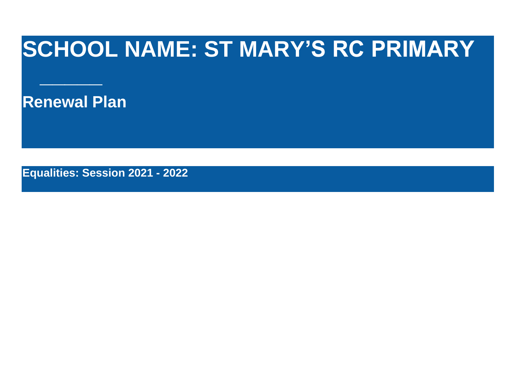## **SCHOOL NAME: ST MARY'S RC PRIMARY**

**Renewal Plan**

**\_\_\_\_\_**

**Equalities: Session 2021 - 2022**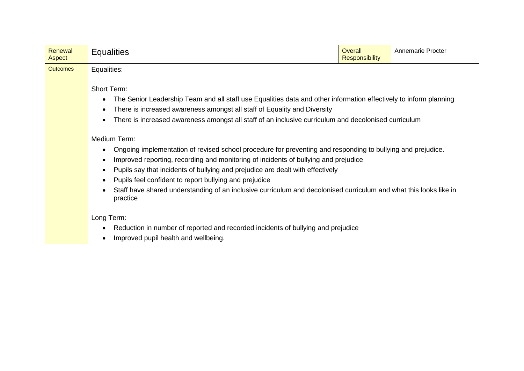| Renewal<br>Aspect | <b>Equalities</b>                                                                                                                                                                                                                                                                                                                                                                                                                                                                               | <b>Overall</b><br><b>Responsibility</b> | <b>Annemarie Procter</b> |  |  |  |  |  |
|-------------------|-------------------------------------------------------------------------------------------------------------------------------------------------------------------------------------------------------------------------------------------------------------------------------------------------------------------------------------------------------------------------------------------------------------------------------------------------------------------------------------------------|-----------------------------------------|--------------------------|--|--|--|--|--|
| <b>Outcomes</b>   | Equalities:<br>Short Term:<br>The Senior Leadership Team and all staff use Equalities data and other information effectively to inform planning<br>There is increased awareness amongst all staff of Equality and Diversity<br>There is increased awareness amongst all staff of an inclusive curriculum and decolonised curriculum                                                                                                                                                             |                                         |                          |  |  |  |  |  |
|                   | Medium Term:<br>Ongoing implementation of revised school procedure for preventing and responding to bullying and prejudice.<br>Improved reporting, recording and monitoring of incidents of bullying and prejudice<br>Pupils say that incidents of bullying and prejudice are dealt with effectively<br>Pupils feel confident to report bullying and prejudice<br>Staff have shared understanding of an inclusive curriculum and decolonised curriculum and what this looks like in<br>practice |                                         |                          |  |  |  |  |  |
|                   | Long Term:<br>Reduction in number of reported and recorded incidents of bullying and prejudice<br>Improved pupil health and wellbeing.                                                                                                                                                                                                                                                                                                                                                          |                                         |                          |  |  |  |  |  |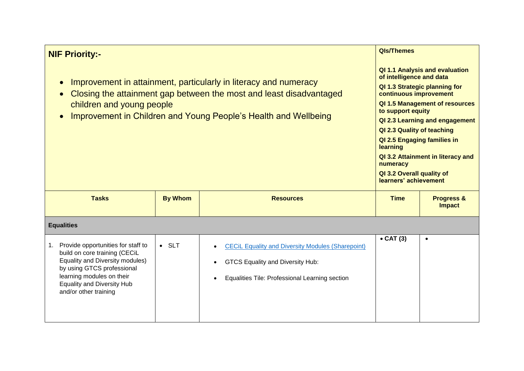| <b>NIF Priority:-</b><br>Improvement in attainment, particularly in literacy and numeracy<br>Closing the attainment gap between the most and least disadvantaged<br>children and young people<br>Improvement in Children and Young People's Health and Wellbeing | <b>QIs/Themes</b><br>QI 1.1 Analysis and evaluation<br>of intelligence and data<br>QI 1.3 Strategic planning for<br>continuous improvement<br>QI 1.5 Management of resources<br>to support equity<br>QI 2.3 Learning and engagement<br>QI 2.3 Quality of teaching<br>QI 2.5 Engaging families in<br>learning<br>QI 3.2 Attainment in literacy and<br>numeracy<br>QI 3.2 Overall quality of<br>learners' achievement |                                                                                                                                                                    |                   |                                        |  |  |
|------------------------------------------------------------------------------------------------------------------------------------------------------------------------------------------------------------------------------------------------------------------|---------------------------------------------------------------------------------------------------------------------------------------------------------------------------------------------------------------------------------------------------------------------------------------------------------------------------------------------------------------------------------------------------------------------|--------------------------------------------------------------------------------------------------------------------------------------------------------------------|-------------------|----------------------------------------|--|--|
| <b>Tasks</b>                                                                                                                                                                                                                                                     | <b>By Whom</b>                                                                                                                                                                                                                                                                                                                                                                                                      | <b>Resources</b>                                                                                                                                                   | <b>Time</b>       | <b>Progress &amp;</b><br><b>Impact</b> |  |  |
| <b>Equalities</b>                                                                                                                                                                                                                                                |                                                                                                                                                                                                                                                                                                                                                                                                                     |                                                                                                                                                                    |                   |                                        |  |  |
| Provide opportunities for staff to<br>1.<br>build on core training (CECiL<br>Equality and Diversity modules)<br>by using GTCS professional<br>learning modules on their<br><b>Equality and Diversity Hub</b><br>and/or other training                            | $\bullet$ SLT                                                                                                                                                                                                                                                                                                                                                                                                       | <b>CECIL Equality and Diversity Modules (Sharepoint)</b><br>$\bullet$<br><b>GTCS Equality and Diversity Hub:</b><br>Equalities Tile: Professional Learning section | $\bullet$ CAT (3) | $\bullet$                              |  |  |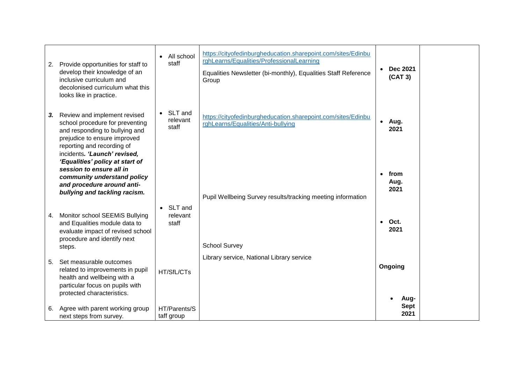| 2. | Provide opportunities for staff to<br>develop their knowledge of an<br>inclusive curriculum and<br>decolonised curriculum what this<br>looks like in practice.                                                                     | $\bullet$  | All school<br>staff          | https://cityofedinburgheducation.sharepoint.com/sites/Edinbu<br>rghLearns/Equalities/ProfessionalLearning<br>Equalities Newsletter (bi-monthly), Equalities Staff Reference<br>Group |                                   | <b>Dec 2021</b><br>(CAT 3) |  |
|----|------------------------------------------------------------------------------------------------------------------------------------------------------------------------------------------------------------------------------------|------------|------------------------------|--------------------------------------------------------------------------------------------------------------------------------------------------------------------------------------|-----------------------------------|----------------------------|--|
| 3. | Review and implement revised<br>school procedure for preventing<br>and responding to bullying and<br>prejudice to ensure improved<br>reporting and recording of<br>incidents. 'Launch' revised,<br>'Equalities' policy at start of |            | SLT and<br>relevant<br>staff | https://cityofedinburgheducation.sharepoint.com/sites/Edinbu<br>rghLearns/Equalities/Anti-bullying                                                                                   | • Aug.<br>2021                    |                            |  |
|    | session to ensure all in<br>community understand policy<br>and procedure around anti-<br>bullying and tackling racism.                                                                                                             |            |                              | Pupil Wellbeing Survey results/tracking meeting information                                                                                                                          | from<br>$\bullet$<br>Aug.<br>2021 |                            |  |
| 4. | Monitor school SEEMiS Bullying<br>and Equalities module data to<br>evaluate impact of revised school<br>procedure and identify next<br>steps.                                                                                      | $\bullet$  | SLT and<br>relevant<br>staff | <b>School Survey</b>                                                                                                                                                                 | Oct.<br>$\bullet$<br>2021         |                            |  |
| 5. | Set measurable outcomes<br>related to improvements in pupil<br>health and wellbeing with a<br>particular focus on pupils with<br>protected characteristics.                                                                        |            | HT/SfL/CTs                   | Library service, National Library service                                                                                                                                            | Ongoing                           | Aug-                       |  |
| 6. | Agree with parent working group<br>next steps from survey.                                                                                                                                                                         | taff group | HT/Parents/S                 |                                                                                                                                                                                      |                                   | <b>Sept</b><br>2021        |  |